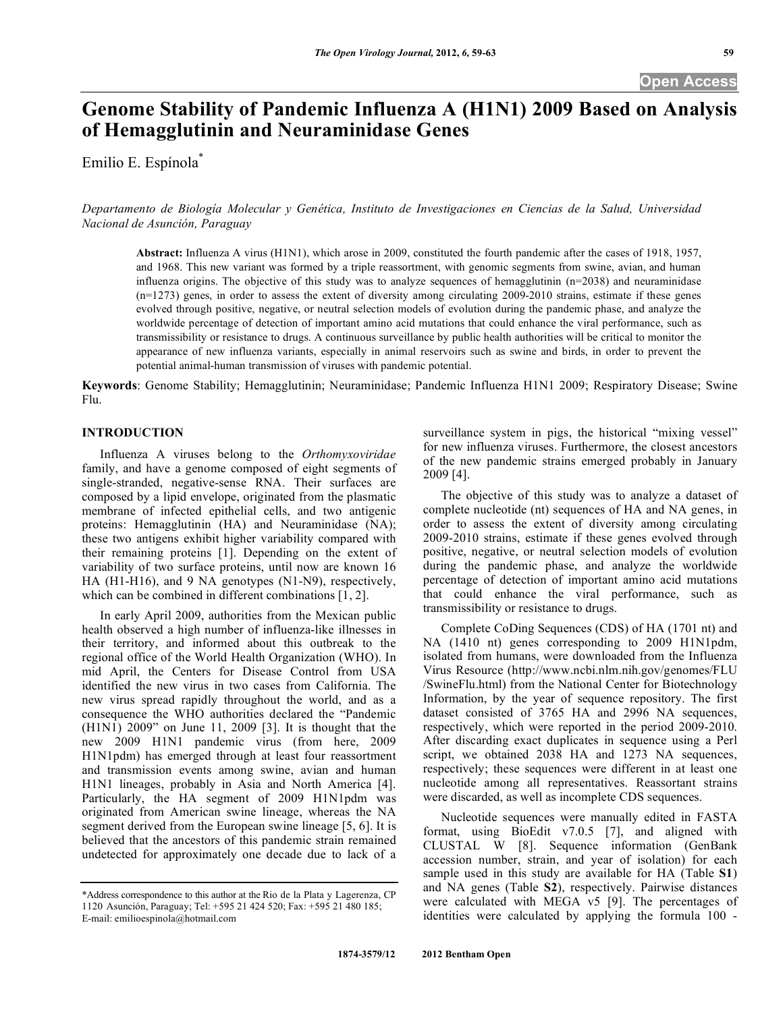# **Genome Stability of Pandemic Influenza A (H1N1) 2009 Based on Analysis of Hemagglutinin and Neuraminidase Genes**

Emilio E. Espínola\*

*Departamento de Biología Molecular y Genética, Instituto de Investigaciones en Ciencias de la Salud, Universidad Nacional de Asunción, Paraguay* 

**Abstract:** Influenza A virus (H1N1), which arose in 2009, constituted the fourth pandemic after the cases of 1918, 1957, and 1968. This new variant was formed by a triple reassortment, with genomic segments from swine, avian, and human influenza origins. The objective of this study was to analyze sequences of hemagglutinin (n=2038) and neuraminidase (n=1273) genes, in order to assess the extent of diversity among circulating 2009-2010 strains, estimate if these genes evolved through positive, negative, or neutral selection models of evolution during the pandemic phase, and analyze the worldwide percentage of detection of important amino acid mutations that could enhance the viral performance, such as transmissibility or resistance to drugs. A continuous surveillance by public health authorities will be critical to monitor the appearance of new influenza variants, especially in animal reservoirs such as swine and birds, in order to prevent the potential animal-human transmission of viruses with pandemic potential.

**Keywords**: Genome Stability; Hemagglutinin; Neuraminidase; Pandemic Influenza H1N1 2009; Respiratory Disease; Swine Flu.

## **INTRODUCTION**

 Influenza A viruses belong to the *Orthomyxoviridae* family, and have a genome composed of eight segments of single-stranded, negative-sense RNA. Their surfaces are composed by a lipid envelope, originated from the plasmatic membrane of infected epithelial cells, and two antigenic proteins: Hemagglutinin (HA) and Neuraminidase (NA); these two antigens exhibit higher variability compared with their remaining proteins [1]. Depending on the extent of variability of two surface proteins, until now are known 16 HA (H1-H16), and 9 NA genotypes (N1-N9), respectively, which can be combined in different combinations [1, 2].

 In early April 2009, authorities from the Mexican public health observed a high number of influenza-like illnesses in their territory, and informed about this outbreak to the regional office of the World Health Organization (WHO). In mid April, the Centers for Disease Control from USA identified the new virus in two cases from California. The new virus spread rapidly throughout the world, and as a consequence the WHO authorities declared the "Pandemic (H1N1) 2009" on June 11, 2009 [3]. It is thought that the new 2009 H1N1 pandemic virus (from here, 2009 H1N1pdm) has emerged through at least four reassortment and transmission events among swine, avian and human H1N1 lineages, probably in Asia and North America [4]. Particularly, the HA segment of 2009 H1N1pdm was originated from American swine lineage, whereas the NA segment derived from the European swine lineage [5, 6]. It is believed that the ancestors of this pandemic strain remained undetected for approximately one decade due to lack of a

surveillance system in pigs, the historical "mixing vessel" for new influenza viruses. Furthermore, the closest ancestors of the new pandemic strains emerged probably in January 2009 [4].

 The objective of this study was to analyze a dataset of complete nucleotide (nt) sequences of HA and NA genes, in order to assess the extent of diversity among circulating 2009-2010 strains, estimate if these genes evolved through positive, negative, or neutral selection models of evolution during the pandemic phase, and analyze the worldwide percentage of detection of important amino acid mutations that could enhance the viral performance, such as transmissibility or resistance to drugs.

 Complete CoDing Sequences (CDS) of HA (1701 nt) and NA (1410 nt) genes corresponding to 2009 H1N1pdm, isolated from humans, were downloaded from the Influenza Virus Resource (http://www.ncbi.nlm.nih.gov/genomes/FLU /SwineFlu.html) from the National Center for Biotechnology Information, by the year of sequence repository. The first dataset consisted of 3765 HA and 2996 NA sequences, respectively, which were reported in the period 2009-2010. After discarding exact duplicates in sequence using a Perl script, we obtained 2038 HA and 1273 NA sequences, respectively; these sequences were different in at least one nucleotide among all representatives. Reassortant strains were discarded, as well as incomplete CDS sequences.

 Nucleotide sequences were manually edited in FASTA format, using BioEdit v7.0.5 [7], and aligned with CLUSTAL W [8]. Sequence information (GenBank accession number, strain, and year of isolation) for each sample used in this study are available for HA (Table **S1**) and NA genes (Table **S2**), respectively. Pairwise distances were calculated with MEGA v5 [9]. The percentages of identities were calculated by applying the formula 100 -

<sup>\*</sup>Address correspondence to this author at the Rio de la Plata y Lagerenza, CP 1120 Asunción, Paraguay; Tel: +595 21 424 520; Fax: +595 21 480 185; E-mail: emilioespinola@hotmail.com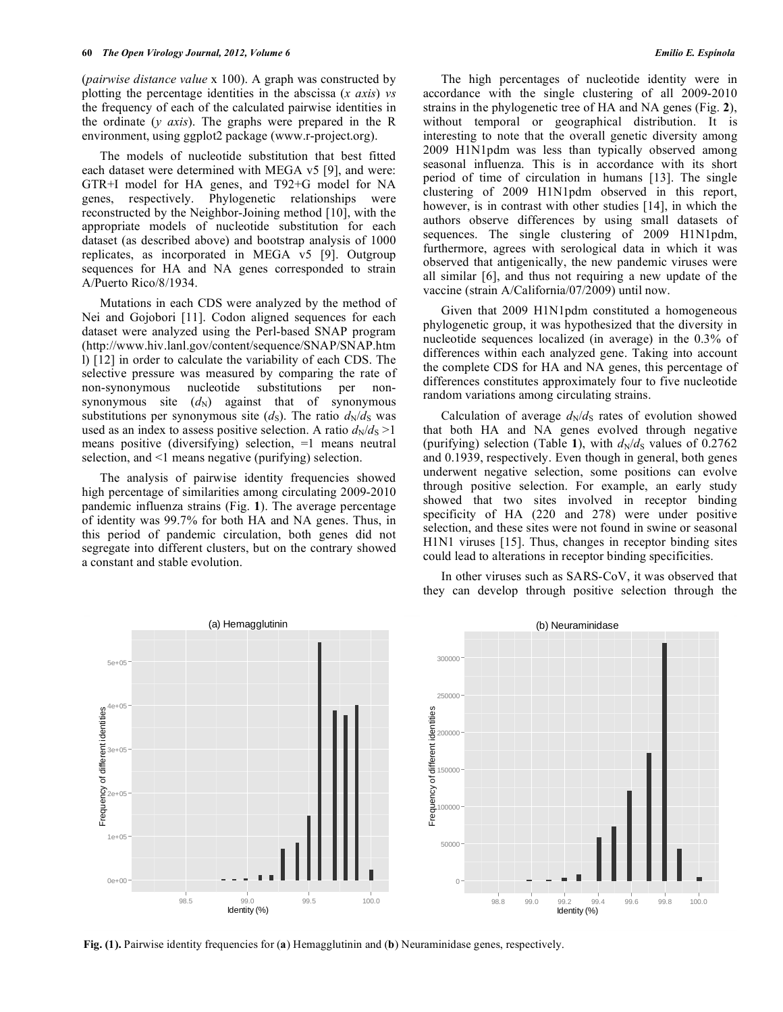(*pairwise distance value* x 100). A graph was constructed by plotting the percentage identities in the abscissa (*x axis*) *vs* the frequency of each of the calculated pairwise identities in the ordinate (*y axis*). The graphs were prepared in the R environment, using ggplot2 package (www.r-project.org).

 The models of nucleotide substitution that best fitted each dataset were determined with MEGA v5 [9], and were: GTR+I model for HA genes, and T92+G model for NA genes, respectively. Phylogenetic relationships were reconstructed by the Neighbor-Joining method [10], with the appropriate models of nucleotide substitution for each dataset (as described above) and bootstrap analysis of 1000 replicates, as incorporated in MEGA v5 [9]. Outgroup sequences for HA and NA genes corresponded to strain A/Puerto Rico/8/1934.

 Mutations in each CDS were analyzed by the method of Nei and Gojobori [11]. Codon aligned sequences for each dataset were analyzed using the Perl-based SNAP program (http://www.hiv.lanl.gov/content/sequence/SNAP/SNAP.htm l) [12] in order to calculate the variability of each CDS. The selective pressure was measured by comparing the rate of non-synonymous nucleotide substitutions per nonsynonymous site  $(d_N)$  against that of synonymous substitutions per synonymous site  $(d_S)$ . The ratio  $d_N/d_S$  was used as an index to assess positive selection. A ratio  $d_N/d_S > 1$ means positive (diversifying) selection, =1 means neutral selection, and <1 means negative (purifying) selection.

 The analysis of pairwise identity frequencies showed high percentage of similarities among circulating 2009-2010 pandemic influenza strains (Fig. **1**). The average percentage of identity was 99.7% for both HA and NA genes. Thus, in this period of pandemic circulation, both genes did not segregate into different clusters, but on the contrary showed a constant and stable evolution.

Frequency of different identities

Frequency of different identities

 The high percentages of nucleotide identity were in accordance with the single clustering of all 2009-2010 strains in the phylogenetic tree of HA and NA genes (Fig. **2**), without temporal or geographical distribution. It is interesting to note that the overall genetic diversity among 2009 H1N1pdm was less than typically observed among seasonal influenza. This is in accordance with its short period of time of circulation in humans [13]. The single clustering of 2009 H1N1pdm observed in this report, however, is in contrast with other studies [14], in which the authors observe differences by using small datasets of sequences. The single clustering of 2009 H1N1pdm, furthermore, agrees with serological data in which it was observed that antigenically, the new pandemic viruses were all similar [6], and thus not requiring a new update of the

 Given that 2009 H1N1pdm constituted a homogeneous phylogenetic group, it was hypothesized that the diversity in nucleotide sequences localized (in average) in the 0.3% of differences within each analyzed gene. Taking into account the complete CDS for HA and NA genes, this percentage of differences constitutes approximately four to five nucleotide random variations among circulating strains.

vaccine (strain A/California/07/2009) until now.

Calculation of average  $d_N/d_S$  rates of evolution showed that both HA and NA genes evolved through negative (purifying) selection (Table 1), with  $d_N/d_S$  values of 0.2762 and 0.1939, respectively. Even though in general, both genes underwent negative selection, some positions can evolve through positive selection. For example, an early study showed that two sites involved in receptor binding specificity of HA (220 and 278) were under positive selection, and these sites were not found in swine or seasonal H1N1 viruses [15]. Thus, changes in receptor binding sites could lead to alterations in receptor binding specificities.

 In other viruses such as SARS-CoV, it was observed that they can develop through positive selection through the



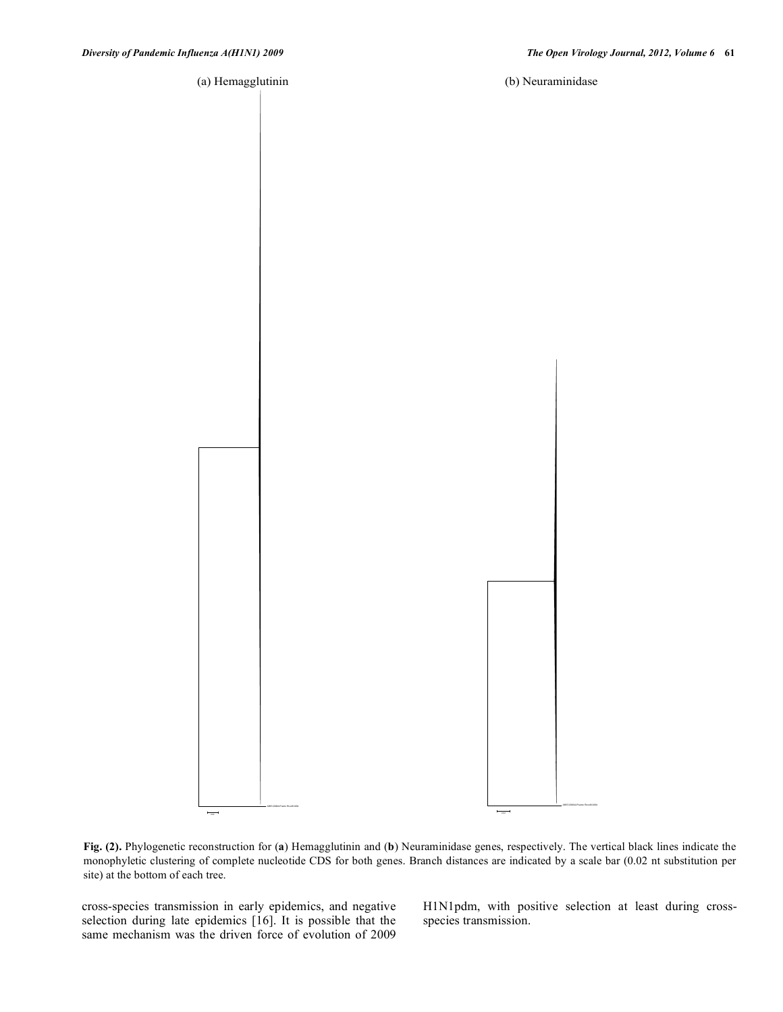(a) Hemagglutinin (b) Neuraminidase



**Fig. (2).** Phylogenetic reconstruction for (**a**) Hemagglutinin and (**b**) Neuraminidase genes, respectively. The vertical black lines indicate the monophyletic clustering of complete nucleotide CDS for both genes. Branch distances are indicated by a scale bar (0.02 nt substitution per site) at the bottom of each tree.

cross-species transmission in early epidemics, and negative selection during late epidemics [16]. It is possible that the same mechanism was the driven force of evolution of 2009

H1N1pdm, with positive selection at least during crossspecies transmission.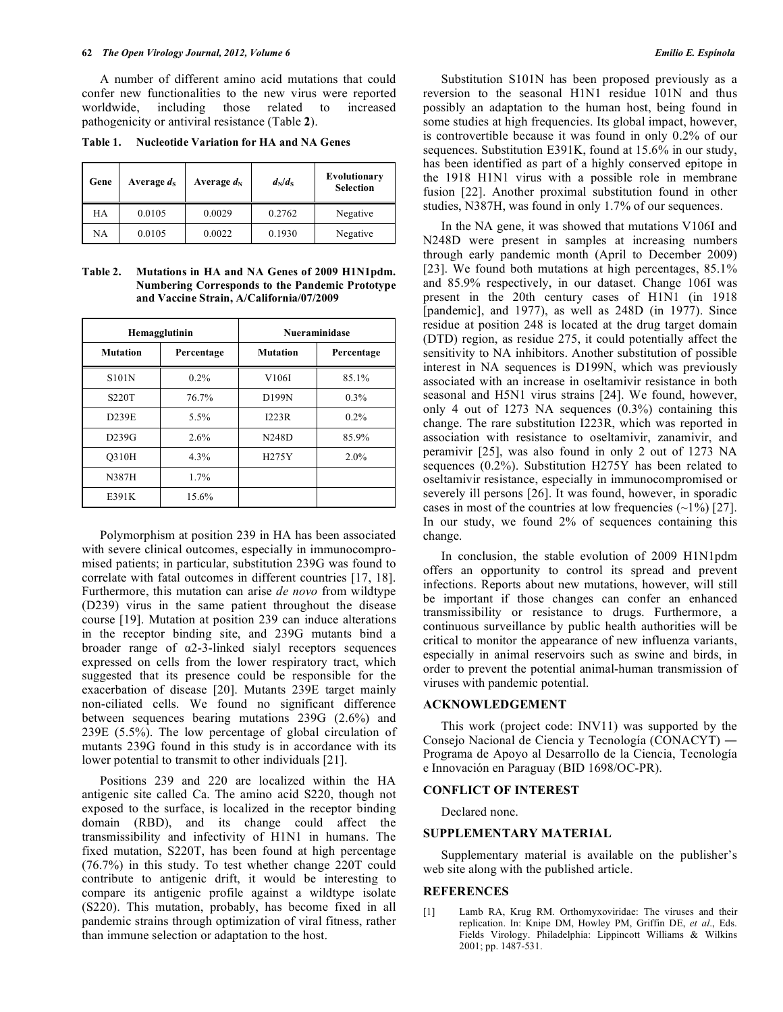A number of different amino acid mutations that could confer new functionalities to the new virus were reported worldwide, including those related to increased pathogenicity or antiviral resistance (Table **2**).

**Table 1. Nucleotide Variation for HA and NA Genes** 

| Gene | Average $d_S$ | Average $d_N$ | $d_N/d_S$ | <b>Evolutionary</b><br><b>Selection</b> |
|------|---------------|---------------|-----------|-----------------------------------------|
| HA   | 0.0105        | 0.0029        | 0.2762    | Negative                                |
| NA   | 0.0105        | 0.0022        | 0.1930    | Negative                                |

**Table 2. Mutations in HA and NA Genes of 2009 H1N1pdm. Numbering Corresponds to the Pandemic Prototype and Vaccine Strain, A/California/07/2009** 

|                 | Hemagglutinin | <b>Nueraminidase</b> |            |
|-----------------|---------------|----------------------|------------|
| <b>Mutation</b> | Percentage    | <b>Mutation</b>      | Percentage |
| <b>S101N</b>    | $0.2\%$       | V106I                | 85.1%      |
| <b>S220T</b>    | 76.7%         | D199N                | $0.3\%$    |
| D239E           | 5.5%          | I223R                | $0.2\%$    |
| D239G           | 2.6%          | N248D                | 85.9%      |
| <b>O310H</b>    | 4.3%          | H275Y                | 2.0%       |
| N387H           | 1.7%          |                      |            |
| E391K           | 15.6%         |                      |            |

 Polymorphism at position 239 in HA has been associated with severe clinical outcomes, especially in immunocompromised patients; in particular, substitution 239G was found to correlate with fatal outcomes in different countries [17, 18]. Furthermore, this mutation can arise *de novo* from wildtype (D239) virus in the same patient throughout the disease course [19]. Mutation at position 239 can induce alterations in the receptor binding site, and 239G mutants bind a broader range of  $\alpha$ 2-3-linked sialyl receptors sequences expressed on cells from the lower respiratory tract, which suggested that its presence could be responsible for the exacerbation of disease [20]. Mutants 239E target mainly non-ciliated cells. We found no significant difference between sequences bearing mutations 239G (2.6%) and 239E (5.5%). The low percentage of global circulation of mutants 239G found in this study is in accordance with its lower potential to transmit to other individuals [21].

 Positions 239 and 220 are localized within the HA antigenic site called Ca. The amino acid S220, though not exposed to the surface, is localized in the receptor binding domain (RBD), and its change could affect the transmissibility and infectivity of H1N1 in humans. The fixed mutation, S220T, has been found at high percentage (76.7%) in this study. To test whether change 220T could contribute to antigenic drift, it would be interesting to compare its antigenic profile against a wildtype isolate (S220). This mutation, probably, has become fixed in all pandemic strains through optimization of viral fitness, rather than immune selection or adaptation to the host.

 Substitution S101N has been proposed previously as a reversion to the seasonal H1N1 residue 101N and thus possibly an adaptation to the human host, being found in some studies at high frequencies. Its global impact, however, is controvertible because it was found in only 0.2% of our sequences. Substitution E391K, found at 15.6% in our study, has been identified as part of a highly conserved epitope in the 1918 H1N1 virus with a possible role in membrane fusion [22]. Another proximal substitution found in other studies, N387H, was found in only 1.7% of our sequences.

 In the NA gene, it was showed that mutations V106I and N248D were present in samples at increasing numbers through early pandemic month (April to December 2009) [23]. We found both mutations at high percentages, 85.1% and 85.9% respectively, in our dataset. Change 106I was present in the 20th century cases of H1N1 (in 1918 [pandemic], and 1977), as well as 248D (in 1977). Since residue at position 248 is located at the drug target domain (DTD) region, as residue 275, it could potentially affect the sensitivity to NA inhibitors. Another substitution of possible interest in NA sequences is D199N, which was previously associated with an increase in oseltamivir resistance in both seasonal and H5N1 virus strains [24]. We found, however, only 4 out of 1273 NA sequences (0.3%) containing this change. The rare substitution I223R, which was reported in association with resistance to oseltamivir, zanamivir, and peramivir [25], was also found in only 2 out of 1273 NA sequences (0.2%). Substitution H275Y has been related to oseltamivir resistance, especially in immunocompromised or severely ill persons [26]. It was found, however, in sporadic cases in most of the countries at low frequencies  $(\sim 1\%)$  [27]. In our study, we found 2% of sequences containing this change.

 In conclusion, the stable evolution of 2009 H1N1pdm offers an opportunity to control its spread and prevent infections. Reports about new mutations, however, will still be important if those changes can confer an enhanced transmissibility or resistance to drugs. Furthermore, a continuous surveillance by public health authorities will be critical to monitor the appearance of new influenza variants, especially in animal reservoirs such as swine and birds, in order to prevent the potential animal-human transmission of viruses with pandemic potential.

## **ACKNOWLEDGEMENT**

 This work (project code: INV11) was supported by the Consejo Nacional de Ciencia y Tecnología (CONACYT) — Programa de Apoyo al Desarrollo de la Ciencia, Tecnología e Innovación en Paraguay (BID 1698/OC-PR).

### **CONFLICT OF INTEREST**

Declared none.

#### **SUPPLEMENTARY MATERIAL**

 Supplementary material is available on the publisher's web site along with the published article.

#### **REFERENCES**

[1] Lamb RA, Krug RM. Orthomyxoviridae: The viruses and their replication. In: Knipe DM, Howley PM, Griffin DE, *et al*., Eds. Fields Virology. Philadelphia: Lippincott Williams & Wilkins 2001; pp. 1487-531.